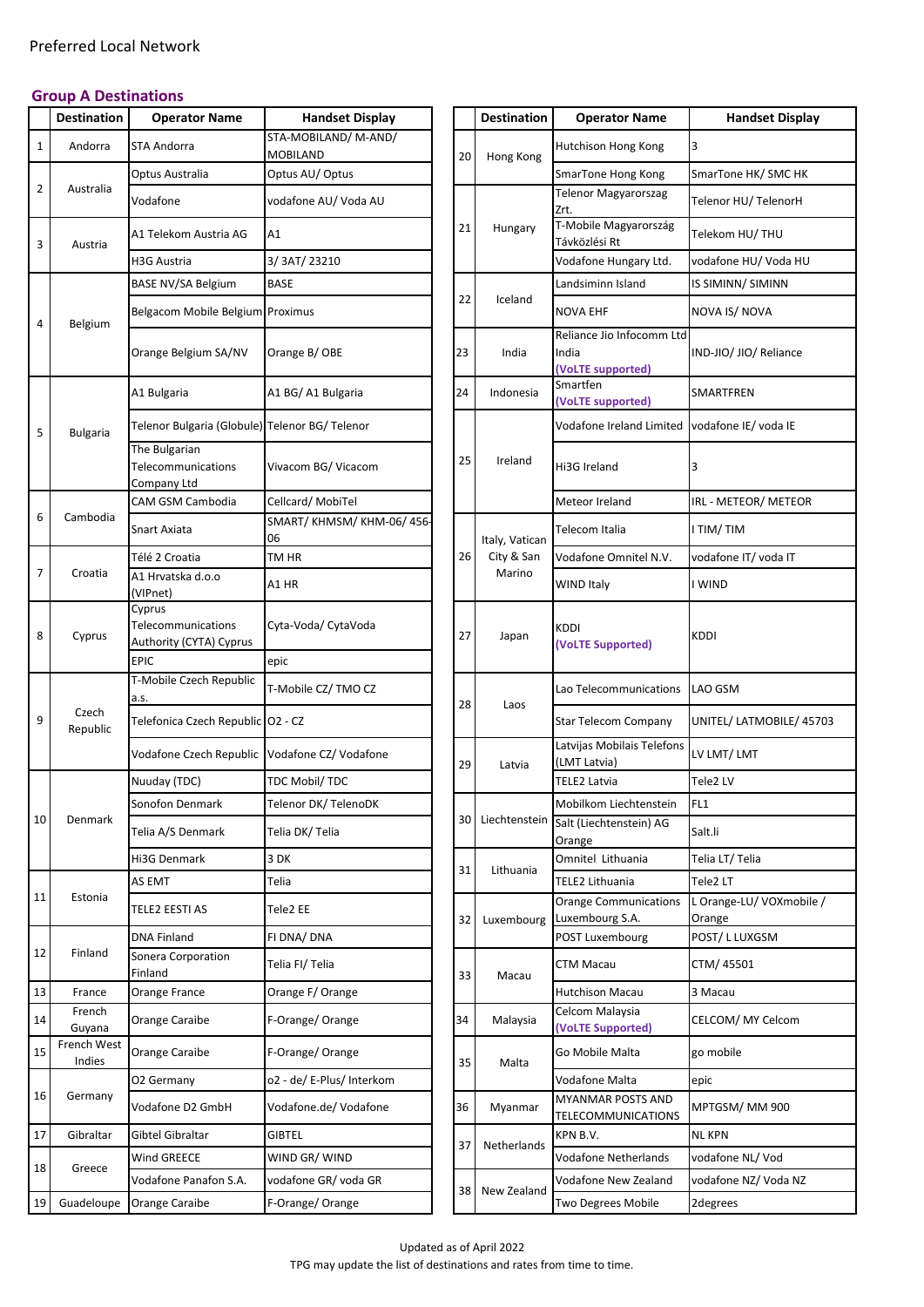## **Group A Destinations**

|                | <b>Destination</b>    | <b>Operator Name</b>                                    | <b>Handset Display</b>          |    | <b>Destination</b> | <b>Operator Name</b>                                    | <b>Handset Display</b>           |
|----------------|-----------------------|---------------------------------------------------------|---------------------------------|----|--------------------|---------------------------------------------------------|----------------------------------|
| $\mathbf{1}$   | Andorra               | <b>STA Andorra</b>                                      | STA-MOBILAND/M-AND/<br>MOBILAND | 20 | Hong Kong          | Hutchison Hong Kong                                     | 3                                |
|                |                       | Optus Australia                                         | Optus AU/Optus                  |    |                    | SmarTone Hong Kong                                      | SmarTone HK/ SMC HK              |
| $\overline{2}$ | Australia             | Vodafone                                                | vodafone AU/ Voda AU            |    |                    | <b>Telenor Magyarorszag</b><br>Zrt.                     | Telenor HU/TelenorH              |
| 3              | Austria               | A1 Telekom Austria AG                                   | Α1                              | 21 | Hungary            | T-Mobile Magyarország<br>Távközlési Rt                  | Telekom HU/THU                   |
|                |                       | H3G Austria                                             | 3/3AT/23210                     |    |                    | Vodafone Hungary Ltd.                                   | vodafone HU/ Voda HU             |
|                |                       | BASE NV/SA Belgium                                      | <b>BASE</b>                     |    |                    | Landsiminn Island                                       | IS SIMINN/ SIMINN                |
| 4              | Belgium               | Belgacom Mobile Belgium Proximus                        |                                 | 22 | Iceland            | <b>NOVA EHF</b>                                         | NOVA IS/NOVA                     |
|                |                       | Orange Belgium SA/NV                                    | Orange B/OBE                    | 23 | India              | Reliance Jio Infocomm Ltd<br>India<br>(VoLTE supported) | IND-JIO/ JIO/ Reliance           |
|                |                       | A1 Bulgaria                                             | A1 BG/ A1 Bulgaria              | 24 | Indonesia          | Smartfen<br>(VoLTE supported)                           | SMARTFREN                        |
| 5              | <b>Bulgaria</b>       | Telenor Bulgaria (Globule) Telenor BG/ Telenor          |                                 |    |                    | Vodafone Ireland Limited                                | vodafone IE/ voda IE             |
|                |                       | The Bulgarian<br>Telecommunications<br>Company Ltd      | Vivacom BG/ Vicacom             | 25 | Ireland            | Hi3G Ireland                                            | 3                                |
|                |                       | CAM GSM Cambodia                                        | Cellcard/ MobiTel               |    |                    | Meteor Ireland                                          | IRL - METEOR/ METEOR             |
| 6              | Cambodia              | Snart Axiata                                            | SMART/KHMSM/KHM-06/456-<br>06   |    | Italy, Vatican     | Telecom Italia                                          | I TIM/TIM                        |
|                |                       | Télé 2 Croatia                                          | TM HR                           | 26 | City & San         | Vodafone Omnitel N.V.                                   | vodafone IT/ voda IT             |
| 7              | Croatia               | A1 Hrvatska d.o.o<br>(VIPnet)                           | A1 HR                           |    | Marino             | WIND Italy                                              | I WIND                           |
| 8              | Cyprus                | Cyprus<br>Telecommunications<br>Authority (CYTA) Cyprus | Cyta-Voda/ CytaVoda             | 27 | Japan              | <b>KDDI</b><br>(VoLTE Supported)                        | KDDI                             |
|                |                       | <b>EPIC</b>                                             | epic                            |    |                    |                                                         |                                  |
|                |                       | T-Mobile Czech Republic<br>a.s.                         | T-Mobile CZ/ TMO CZ             | 28 | Laos               | Lao Telecommunications                                  | LAO GSM                          |
| 9              | Czech<br>Republic     | Telefonica Czech Republic O2 - CZ                       |                                 |    |                    | <b>Star Telecom Company</b>                             | UNITEL/ LATMOBILE/ 457           |
|                |                       | Vodafone Czech Republic Vodafone CZ/ Vodafone           |                                 | 29 | Latvia             | Latvijas Mobilais Telefons<br>(LMT Latvia)              | LV LMT/LMT                       |
|                |                       | Nuuday (TDC)                                            | TDC Mobil/TDC                   |    |                    | <b>TELE2 Latvia</b>                                     | Tele2 LV                         |
| 10             | Denmark               | Sonofon Denmark                                         | Telenor DK/ TelenoDK            | 30 | Liechtenstein      | Mobilkom Liechtenstein                                  | FL1                              |
|                |                       | Telia A/S Denmark                                       | Telia DK/Telia                  |    |                    | Salt (Liechtenstein) AG<br>Orange                       | Salt.li                          |
|                |                       | Hi3G Denmark                                            | 3 DK                            | 31 | Lithuania          | Omnitel Lithuania                                       | Telia LT/ Telia                  |
|                |                       | AS EMT                                                  | Telia                           |    |                    | <b>TELE2 Lithuania</b>                                  | Tele2 LT                         |
| 11             | Estonia               | TELE2 EESTI AS                                          | Tele2 EE                        | 32 | Luxembourg         | <b>Orange Communications</b><br>Luxembourg S.A.         | L Orange-LU/ VOXmobile<br>Orange |
|                |                       | <b>DNA Finland</b>                                      | FI DNA/ DNA                     |    |                    | POST Luxembourg                                         | POST/L LUXGSM                    |
| 12             | Finland               | Sonera Corporation<br>Finland                           | Telia FI/ Telia                 | 33 | Macau              | CTM Macau                                               | CTM/45501                        |
| 13             | France                | Orange France                                           | Orange F/ Orange                |    |                    | <b>Hutchison Macau</b>                                  | 3 Macau                          |
| 14             | French<br>Guyana      | Orange Caraibe                                          | F-Orange/Orange                 | 34 | Malaysia           | Celcom Malaysia<br>(VoLTE Supported)                    | CELCOM/ MY Celcom                |
| 15             | French West<br>Indies | Orange Caraibe                                          | F-Orange/Orange                 | 35 | Malta              | Go Mobile Malta                                         | go mobile                        |
|                |                       | O2 Germany                                              | o2 - de/ E-Plus/ Interkom       |    |                    | Vodafone Malta                                          | epic                             |
| 16             | Germany               | Vodafone D2 GmbH                                        | Vodafone.de/ Vodafone           | 36 | Myanmar            | <b>MYANMAR POSTS AND</b><br>TELECOMMUNICATIONS          | MPTGSM/MM900                     |
| 17             | Gibraltar             | Gibtel Gibraltar                                        | GIBTEL                          | 37 | Netherlands        | KPN B.V.                                                | <b>NL KPN</b>                    |
| 18             | Greece                | Wind GREECE                                             | WIND GR/WIND                    |    |                    | Vodafone Netherlands                                    | vodafone NL/Vod                  |
|                |                       | Vodafone Panafon S.A.                                   | vodafone GR/ voda GR            | 38 | New Zealand        | Vodafone New Zealand                                    | vodafone NZ/Voda NZ              |
| 19             | Guadeloupe            | Orange Caraibe                                          | F-Orange/ Orange                |    |                    | Two Degrees Mobile                                      | 2degrees                         |

| <b>Operator Name</b>                                    | <b>Handset Display</b>                  |    |    | <b>Destination</b> | <b>Operator Name</b>                                    | <b>Handset Display</b>            |
|---------------------------------------------------------|-----------------------------------------|----|----|--------------------|---------------------------------------------------------|-----------------------------------|
| <b>STA Andorra</b>                                      | STA-MOBILAND/ M-AND/<br><b>MOBILAND</b> |    | 20 | Hong Kong          | Hutchison Hong Kong                                     | 3                                 |
| Optus Australia                                         | Optus AU/ Optus                         |    |    |                    | SmarTone Hong Kong                                      | SmarTone HK/ SMC HK               |
| Vodafone                                                | vodafone AU/ Voda AU                    |    |    |                    | <b>Telenor Magyarorszag</b><br>Zrt.                     | Telenor HU/ TelenorH              |
| A1 Telekom Austria AG                                   | A1                                      | 21 |    | Hungary            | T-Mobile Magyarország<br>Távközlési Rt                  | Telekom HU/ THU                   |
| H3G Austria                                             | 3/3AT/23210                             |    |    |                    | Vodafone Hungary Ltd.                                   | vodafone HU/ Voda HU              |
| BASE NV/SA Belgium                                      | <b>BASE</b>                             |    |    |                    | Landsiminn Island                                       | IS SIMINN/ SIMINN                 |
| Belgacom Mobile Belgium Proximus                        |                                         |    | 22 | Iceland            | <b>NOVA EHF</b>                                         | NOVA IS/NOVA                      |
| Orange Belgium SA/NV                                    | Orange B/OBE                            | 23 |    | India              | Reliance Jio Infocomm Ltd<br>India<br>(VoLTE supported) | IND-JIO/ JIO/ Reliance            |
| A1 Bulgaria                                             | A1 BG/ A1 Bulgaria                      | 24 |    | Indonesia          | Smartfen<br>(VoLTE supported)                           | SMARTFREN                         |
| Telenor Bulgaria (Globule) Telenor BG/ Telenor          |                                         |    |    |                    | Vodafone Ireland Limited                                | vodafone IE/ voda IE              |
| The Bulgarian<br>Telecommunications<br>Company Ltd      | Vivacom BG/ Vicacom                     |    | 25 | Ireland            | Hi3G Ireland                                            | 3                                 |
| CAM GSM Cambodia                                        | Cellcard/ MobiTel                       |    |    |                    | Meteor Ireland                                          | IRL - METEOR/ METEOR              |
| Snart Axiata                                            | SMART/KHMSM/KHM-06/456-<br>06           |    |    | Italy, Vatican     | Telecom Italia                                          | I TIM/TIM                         |
| Télé 2 Croatia                                          | TM HR                                   |    | 26 | City & San         | Vodafone Omnitel N.V.                                   | vodafone IT/ voda IT              |
| A1 Hrvatska d.o.o<br>(VIPnet)                           | A1 HR                                   |    |    | Marino             | WIND Italy                                              | I WIND                            |
| Cyprus<br>Telecommunications<br>Authority (CYTA) Cyprus | Cyta-Voda/ CytaVoda                     | 27 |    | Japan              | <b>KDDI</b><br>(VoLTE Supported)                        | <b>KDDI</b>                       |
| <b>EPIC</b>                                             | epic                                    |    |    |                    |                                                         |                                   |
| T-Mobile Czech Republic<br>a.s.                         | T-Mobile CZ/ TMO CZ                     |    | 28 | Laos               | Lao Telecommunications                                  | LAO GSM                           |
| Telefonica Czech Republic 02 - CZ                       |                                         |    |    |                    | <b>Star Telecom Company</b>                             | UNITEL/ LATMOBILE/ 45703          |
| Vodafone Czech Republic Vodafone CZ/ Vodafone           |                                         |    | 29 | Latvia             | Latvijas Mobilais Telefons<br>(LMT Latvia)              | LV LMT/ LMT                       |
| Nuuday (TDC)                                            | TDC Mobil/TDC                           |    |    |                    | <b>TELE2 Latvia</b>                                     | Tele2 LV                          |
| Sonofon Denmark                                         | Telenor DK/ TelenoDK                    |    | 30 | Liechtenstein      | Mobilkom Liechtenstein                                  | FL1                               |
| Telia A/S Denmark                                       | Telia DK/ Telia                         |    |    |                    | Salt (Liechtenstein) AG<br>Orange                       | Salt.li                           |
| Hi3G Denmark                                            | 3 DK                                    |    | 31 | Lithuania          | Omnitel Lithuania                                       | Telia LT/Telia                    |
| AS EMT                                                  | Telia                                   |    |    |                    | TELE2 Lithuania                                         | Tele2 LT                          |
| TELE2 EESTI AS                                          | Tele2 EE                                |    | 32 | Luxembourg         | <b>Orange Communications</b><br>Luxembourg S.A.         | L Orange-LU/VOXmobile /<br>Orange |
| <b>DNA Finland</b>                                      | FI DNA/ DNA                             |    |    |                    | POST Luxembourg                                         | POST/L LUXGSM                     |
| Sonera Corporation<br>Finland                           | Telia FI/ Telia                         |    | 33 | Macau              | CTM Macau                                               | CTM/45501                         |
| Orange France                                           | Orange F/ Orange                        |    |    |                    | <b>Hutchison Macau</b>                                  | 3 Macau                           |
| Orange Caraibe                                          | F-Orange/ Orange                        | 34 |    | Malaysia           | Celcom Malaysia<br>(VoLTE Supported)                    | CELCOM/ MY Celcom                 |
| Orange Caraibe                                          | F-Orange/Orange                         |    | 35 | Malta              | Go Mobile Malta                                         | go mobile                         |
| O2 Germany                                              | o2 - de/ E-Plus/ Interkom               |    |    |                    | Vodafone Malta                                          | epic                              |
| Vodafone D2 GmbH                                        | Vodafone.de/ Vodafone                   | 36 |    | Myanmar            | <b>MYANMAR POSTS AND</b><br>TELECOMMUNICATIONS          | MPTGSM/MM900                      |
| Gibtel Gibraltar                                        | <b>GIBTEL</b>                           | 37 |    | Netherlands        | KPN B.V.                                                | <b>NL KPN</b>                     |
| Wind GREECE                                             | WIND GR/WIND                            |    |    |                    | Vodafone Netherlands                                    | vodafone NL/ Vod                  |
| Vodafone Panafon S.A.                                   | vodafone GR/ voda GR                    |    | 38 | New Zealand        | Vodafone New Zealand                                    | vodafone NZ/ Voda NZ              |
| Orange Caraibe                                          | F-Orange/Orange                         |    |    |                    | Two Degrees Mobile                                      | 2degrees                          |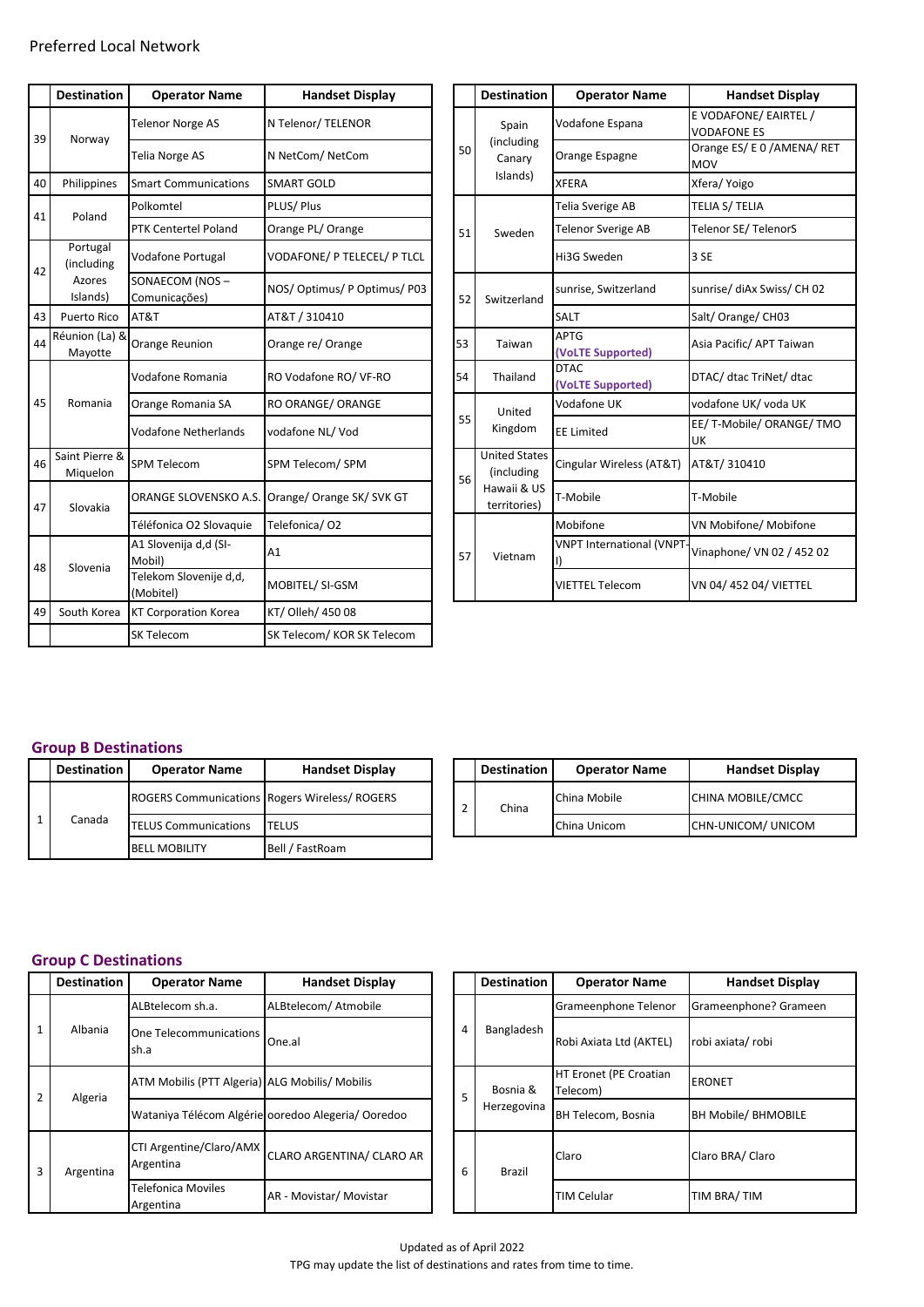|    | <b>Destination</b>         | <b>Operator Name</b>                | <b>Handset Display</b>                          |    | <b>Destination</b>                 | <b>Operator Name</b>             | <b>Handset Display</b>                      |
|----|----------------------------|-------------------------------------|-------------------------------------------------|----|------------------------------------|----------------------------------|---------------------------------------------|
| 39 |                            | <b>Telenor Norge AS</b>             | N Telenor/ TELENOR                              |    | Spain                              | Vodafone Espana                  | E VODAFONE/ EAIRTEL /<br><b>VODAFONE ES</b> |
|    | Norway                     | Telia Norge AS                      | N NetCom/NetCom                                 | 50 | (including<br>Canary               | Orange Espagne                   | Orange ES/ E 0 / AMENA/<br><b>MOV</b>       |
| 40 | Philippines                | <b>Smart Communications</b>         | <b>SMART GOLD</b>                               |    | Islands)                           | <b>XFERA</b>                     | Xfera/ Yoigo                                |
| 41 | Poland                     | Polkomtel                           | PLUS/Plus                                       |    |                                    | Telia Sverige AB                 | TELIA S/ TELIA                              |
|    |                            | PTK Centertel Poland                | Orange PL/ Orange                               | 51 | Sweden                             | Telenor Sverige AB               | Telenor SE/ TelenorS                        |
| 42 | Portugal<br>(including     | <b>Vodafone Portugal</b>            | VODAFONE/ P TELECEL/ P TLCL                     |    |                                    | Hi3G Sweden                      | 3 SE                                        |
|    | Azores<br>Islands)         | SONAECOM (NOS-<br>Comunicações)     | NOS/Optimus/POptimus/P03                        | 52 | Switzerland                        | sunrise, Switzerland             | sunrise/ diAx Swiss/ CH 0                   |
| 43 | <b>Puerto Rico</b>         | AT&T                                | AT&T / 310410                                   |    |                                    | SALT                             | Salt/Orange/CH03                            |
| 44 | Réunion (La) &<br>Mayotte  | Orange Reunion                      | Orange re/ Orange                               | 53 | Taiwan                             | <b>APTG</b><br>(VoLTE Supported) | Asia Pacific/ APT Taiwan                    |
|    |                            | Vodafone Romania                    | RO Vodafone RO/ VF-RO                           | 54 | Thailand                           | <b>DTAC</b><br>(VoLTE Supported) | DTAC/ dtac TriNet/ dtac                     |
| 45 | Romania                    | Orange Romania SA                   | RO ORANGE/ ORANGE                               |    | United                             | Vodafone UK                      | vodafone UK/ voda UK                        |
|    |                            | <b>Vodafone Netherlands</b>         | vodafone NL/Vod                                 | 55 | Kingdom                            | <b>EE Limited</b>                | EE/T-Mobile/ORANGE/<br><b>UK</b>            |
| 46 | Saint Pierre &<br>Miquelon | <b>SPM Telecom</b>                  | SPM Telecom/SPM                                 | 56 | <b>United States</b><br>(including | Cingular Wireless (AT&T)         | AT&T/310410                                 |
| 47 | Slovakia                   |                                     | ORANGE SLOVENSKO A.S. Orange/ Orange SK/ SVK GT |    | Hawaii & US<br>territories)        | T-Mobile                         | T-Mobile                                    |
|    |                            | Téléfonica O2 Slovaguie             | Telefonica/02                                   |    |                                    | Mobifone                         | VN Mobifone/ Mobifone                       |
| 48 | Slovenia                   | A1 Slovenija d,d (SI-<br>Mobil)     | A1                                              | 57 | Vietnam                            | <b>VNPT International (VNPT</b>  | Vinaphone/ VN 02 / 452                      |
|    |                            | Telekom Slovenije d,d,<br>(Mobitel) | MOBITEL/ SI-GSM                                 |    |                                    | <b>VIETTEL Telecom</b>           | VN 04/452 04/VIETTEL                        |
| 49 | South Korea                | <b>KT Corporation Korea</b>         | KT/ Olleh/ 450 08                               |    |                                    |                                  |                                             |
|    |                            | SK Telecom                          | SK Telecom/ KOR SK Telecom                      |    |                                    |                                  |                                             |
|    |                            |                                     |                                                 |    |                                    |                                  |                                             |

| <b>Operator Name</b>                | <b>Handset Display</b>      |    |    | <b>Destination</b>                 | <b>Operator Name</b>             | <b>Handset Display</b>                      |
|-------------------------------------|-----------------------------|----|----|------------------------------------|----------------------------------|---------------------------------------------|
| <b>Telenor Norge AS</b>             | N Telenor/ TELENOR          |    |    | Spain                              | Vodafone Espana                  | E VODAFONE/ EAIRTEL /<br><b>VODAFONE ES</b> |
| <b>Telia Norge AS</b>               | N NetCom/NetCom             |    | 50 | (including<br>Canary               | Orange Espagne                   | Orange ES/ E 0 / AMENA/ RET<br><b>MOV</b>   |
| <b>Smart Communications</b>         | <b>SMART GOLD</b>           |    |    | Islands)                           | <b>XFERA</b>                     | Xfera/ Yoigo                                |
| Polkomtel                           | PLUS/Plus                   |    |    |                                    | <b>Telia Sverige AB</b>          | <b>TELIA S/ TELIA</b>                       |
| PTK Centertel Poland                | Orange PL/ Orange           |    | 51 | Sweden                             | <b>Telenor Sverige AB</b>        | Telenor SE/ TelenorS                        |
| <b>Vodafone Portugal</b>            | VODAFONE/ P TELECEL/ P TLCL |    |    |                                    | Hi3G Sweden                      | 3 SE                                        |
| SONAECOM (NOS-<br>Comunicações)     | NOS/Optimus/POptimus/P03    |    | 52 | Switzerland                        | sunrise, Switzerland             | sunrise/ diAx Swiss/ CH 02                  |
| AT&T                                | AT&T / 310410               |    |    |                                    | <b>SALT</b>                      | Salt/Orange/CH03                            |
| Orange Reunion                      | Orange re/ Orange           | 53 |    | Taiwan                             | <b>APTG</b><br>(VoLTE Supported) | Asia Pacific/ APT Taiwan                    |
| Vodafone Romania                    | RO Vodafone RO/ VF-RO       | 54 |    | Thailand                           | <b>DTAC</b><br>(VoLTE Supported) | DTAC/ dtac TriNet/ dtac                     |
| Orange Romania SA                   | RO ORANGE/ ORANGE           |    |    | United                             | Vodafone UK                      | vodafone UK/ voda UK                        |
| <b>Vodafone Netherlands</b>         | vodafone NL/Vod             |    | 55 | Kingdom                            | <b>EE Limited</b>                | EE/T-Mobile/ ORANGE/ TMO<br>UK              |
| <b>SPM Telecom</b>                  | SPM Telecom/SPM             |    | 56 | <b>United States</b><br>(including | Cingular Wireless (AT&T)         | AT&T/310410                                 |
| ORANGE SLOVENSKO A.S.               | Orange/ Orange SK/ SVK GT   |    |    | Hawaii & US<br>territories)        | T-Mobile                         | T-Mobile                                    |
| Téléfonica O2 Slovaguie             | Telefonica/02               |    |    |                                    | Mobifone                         | VN Mobifone/ Mobifone                       |
| A1 Slovenija d,d (SI-<br>Mobil)     | A1                          |    | 57 | Vietnam                            | <b>VNPT International (VNPT</b>  | Vinaphone/ VN 02 / 452 02                   |
| Telekom Slovenije d,d,<br>(Mobitel) | MOBITEL/ SI-GSM             |    |    |                                    | <b>VIETTEL Telecom</b>           | VN 04/452 04/ VIETTEL                       |

## **Group B Destinations**

| <b>Destination</b> | <b>Operator Name</b>        | <b>Handset Display</b>                               |  |  | <b>Destination</b> | <b>Operator Name</b> | <b>Handset Display</b> |
|--------------------|-----------------------------|------------------------------------------------------|--|--|--------------------|----------------------|------------------------|
|                    |                             | <b>ROGERS Communications Rogers Wireless/ ROGERS</b> |  |  | China              | China Mobile         | CHINA MOBILE/CMCC      |
| Canada             | <b>TELUS Communications</b> | <b>TELUS</b>                                         |  |  |                    | China Unicom         | CHN-UNICOM/ UNICOM     |
|                    | <b>BELL MOBILITY</b>        | Bell / FastRoam                                      |  |  |                    |                      |                        |

| <b>Operator Name</b>        | <b>Handset Display</b>                               |  | <b>Destination</b> | <b>Operator Name</b> | <b>Handset Display</b> |
|-----------------------------|------------------------------------------------------|--|--------------------|----------------------|------------------------|
|                             | <b>ROGERS Communications Rogers Wireless/ ROGERS</b> |  | China              | China Mobile         | CHINA MOBILE/CMCC      |
| <b>TELUS Communications</b> | <b>TELUS</b>                                         |  |                    | China Unicom         | CHN-UNICOM/ UNICOM     |

## **Group C Destinations**

|   | <b>Destination</b> | <b>Operator Name</b>                           | <b>Handset Display</b>                            |  |                | <b>Destination</b> | <b>Operator Name</b>                      | <b>Handset Display</b> |
|---|--------------------|------------------------------------------------|---------------------------------------------------|--|----------------|--------------------|-------------------------------------------|------------------------|
|   |                    | ALBtelecom sh.a.                               | ALBtelecom/ Atmobile                              |  |                |                    | Grameenphone Telenor                      | Grameenphone? Gramee   |
|   | Albania            | One Telecommunications<br>sh.a                 | One.al                                            |  | $\overline{4}$ | Bangladesh         | Robi Axiata Ltd (AKTEL)                   | robi axiata/robi       |
|   | Algeria            | ATM Mobilis (PTT Algeria) ALG Mobilis/ Mobilis |                                                   |  | 5              | Bosnia &           | <b>HT Eronet (PE Croatian</b><br>Telecom) | <b>ERONET</b>          |
|   |                    |                                                | Wataniya Télécom Algérie ooredoo Alegeria/Ooredoo |  |                | Herzegovina        | BH Telecom, Bosnia                        | BH Mobile/ BHMOBILE    |
| 3 | Argentina          | CTI Argentine/Claro/AMX<br>Argentina           | CLARO ARGENTINA/ CLARO AR                         |  |                | <b>Brazil</b>      | Claro                                     | Claro BRA/ Claro       |
|   |                    | <b>Telefonica Moviles</b><br>Argentina         | AR - Movistar/ Movistar                           |  |                |                    | <b>TIM Celular</b>                        | TIM BRA/TIM            |

| <b>Operator Name</b>                           | <b>Handset Display</b>                            |  |   | <b>Destination</b> | <b>Operator Name</b>               | <b>Handset Display</b>     |
|------------------------------------------------|---------------------------------------------------|--|---|--------------------|------------------------------------|----------------------------|
| ALBtelecom sh.a.                               | ALBtelecom/ Atmobile                              |  |   |                    | Grameenphone Telenor               | Grameenphone? Grameen      |
| One Telecommunications<br>sh.a                 | One.al                                            |  | 4 | Bangladesh         | Robi Axiata Ltd (AKTEL)            | robi axiata/robi           |
| ATM Mobilis (PTT Algeria) ALG Mobilis/ Mobilis |                                                   |  | 5 | Bosnia &           | HT Eronet (PE Croatian<br>Telecom) | <b>ERONET</b>              |
|                                                | Wataniya Télécom Algérie ooredoo Alegeria/Ooredoo |  |   | Herzegovina        | BH Telecom, Bosnia                 | <b>BH Mobile/ BHMOBILE</b> |
| CTI Argentine/Claro/AMX<br>Argentina           | CLARO ARGENTINA/ CLARO AR                         |  | 6 | <b>Brazil</b>      | Claro                              | Claro BRA/ Claro           |
| <b>Telefonica Moviles</b><br>Argentina         | AR - Movistar/ Movistar                           |  |   |                    | <b>TIM Celular</b>                 | TIM BRA/TIM                |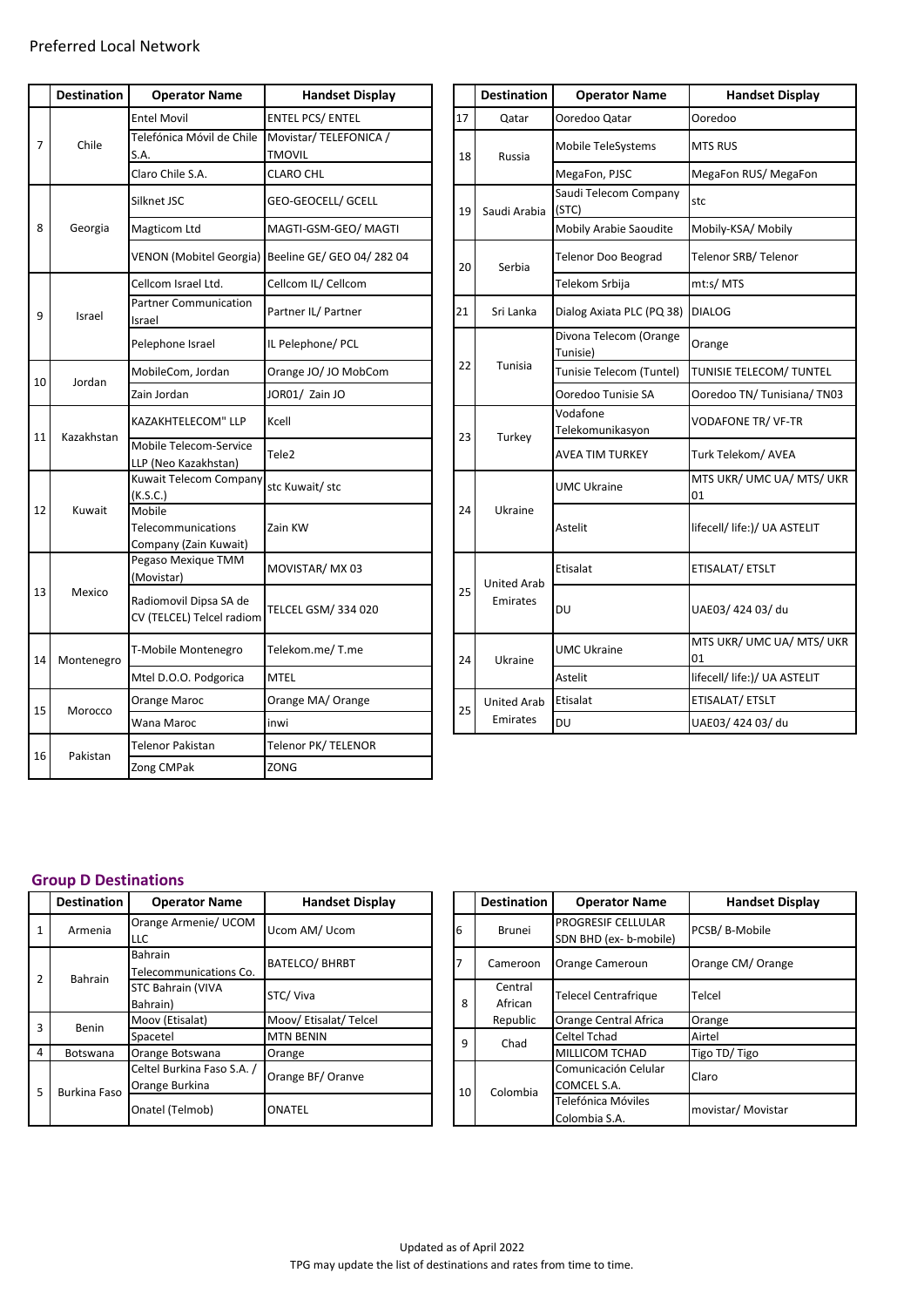|    | <b>Destination</b> | <b>Operator Name</b>                                  | <b>Handset Display</b>                            |    | <b>Destination</b> | <b>Operator Name</b>               | <b>Handset Display</b>       |
|----|--------------------|-------------------------------------------------------|---------------------------------------------------|----|--------------------|------------------------------------|------------------------------|
|    |                    | <b>Entel Movil</b>                                    | <b>ENTEL PCS/ ENTEL</b>                           | 17 | Qatar              | Ooredoo Qatar                      | Ooredoo                      |
| 7  | Chile              | Telefónica Móvil de Chile<br>S.A.                     | Movistar/TELEFONICA /<br>TMOVIL                   | 18 | Russia             | Mobile TeleSystems                 | <b>MTS RUS</b>               |
|    |                    | Claro Chile S.A.                                      | <b>CLARO CHL</b>                                  |    |                    | MegaFon, PJSC                      | MegaFon RUS/MegaFon          |
|    |                    | Silknet JSC                                           | GEO-GEOCELL/ GCELL                                | 19 | Saudi Arabia       | Saudi Telecom Company<br>(STC)     | stc                          |
| 8  | Georgia            | Magticom Ltd                                          | MAGTI-GSM-GEO/ MAGTI                              |    |                    | Mobily Arabie Saoudite             | Mobily-KSA/ Mobily           |
|    |                    |                                                       | VENON (Mobitel Georgia) Beeline GE/ GEO 04/282 04 | 20 | Serbia             | Telenor Doo Beograd                | Telenor SRB/Telenor          |
|    |                    | Cellcom Israel Ltd.                                   | Cellcom IL/ Cellcom                               |    |                    | Telekom Srbija                     | mt:s/ MTS                    |
| 9  | Israel             | <b>Partner Communication</b><br>Israel                | Partner IL/ Partner                               | 21 | Sri Lanka          | Dialog Axiata PLC (PQ 38)          | <b>DIALOG</b>                |
|    |                    | Pelephone Israel                                      | IL Pelephone/ PCL                                 |    |                    | Divona Telecom (Orange<br>Tunisie) | Orange                       |
| 10 | Jordan             | MobileCom, Jordan                                     | Orange JO/ JO MobCom                              | 22 | Tunisia            | Tunisie Telecom (Tuntel)           | TUNISIE TELECOM/ TUNT        |
|    |                    | Zain Jordan                                           | JOR01/ Zain JO                                    |    |                    | Ooredoo Tunisie SA                 | Ooredoo TN/ Tunisiana/       |
| 11 | Kazakhstan         | KAZAKHTELECOM" LLP                                    | Kcell                                             | 23 | Turkey             | Vodafone<br>Telekomunikasyon       | VODAFONE TR/ VF-TR           |
|    |                    | Mobile Telecom-Service<br>LLP (Neo Kazakhstan)        | Tele <sub>2</sub>                                 |    |                    | AVEA TIM TURKEY                    | Turk Telekom/ AVEA           |
|    |                    | Kuwait Telecom Company<br>(K.S.C.)                    | stc Kuwait/ stc                                   |    |                    | <b>UMC Ukraine</b>                 | MTS UKR/ UMC UA/ MTS<br>01   |
| 12 | Kuwait             | Mobile<br>Telecommunications<br>Company (Zain Kuwait) | Zain KW                                           | 24 | Ukraine            | Astelit                            | lifecell/ life:)/ UA ASTELIT |
|    |                    | Pegaso Mexique TMM<br>(Movistar)                      | MOVISTAR/ MX 03                                   |    | <b>United Arab</b> | Etisalat                           | ETISALAT/ ETSLT              |
| 13 | Mexico             | Radiomovil Dipsa SA de<br>CV (TELCEL) Telcel radiom   | <b>TELCEL GSM/334020</b>                          | 25 | Emirates           | DU                                 | UAE03/42403/du               |
| 14 | Montenegro         | T-Mobile Montenegro                                   | Telekom.me/T.me                                   | 24 | Ukraine            | UMC Ukraine                        | MTS UKR/ UMC UA/ MTS<br>01   |
|    |                    | Mtel D.O.O. Podgorica                                 | <b>MTEL</b>                                       |    |                    | Astelit                            | lifecell/ life:)/ UA ASTELIT |
|    |                    | Orange Maroc                                          | Orange MA/ Orange                                 | 25 | <b>United Arab</b> | Etisalat                           | ETISALAT/ ETSLT              |
| 15 | Morocco            | Wana Maroc                                            | inwi                                              |    | Emirates           | DU                                 | UAE03/42403/du               |
|    |                    | Telenor Pakistan                                      | Telenor PK/ TELENOR                               |    |                    |                                    |                              |
| 16 | Pakistan           | Zong CMPak                                            | ZONG                                              |    |                    |                                    |                              |

| <b>Operator Name</b>                                  | <b>Handset Display</b>                            |    | <b>Destination</b> | <b>Operator Name</b>               | <b>Handset Display</b>          |
|-------------------------------------------------------|---------------------------------------------------|----|--------------------|------------------------------------|---------------------------------|
| <b>Entel Movil</b>                                    | <b>ENTEL PCS/ ENTEL</b>                           | 17 | Qatar              | Ooredoo Qatar                      | Ooredoo                         |
| Telefónica Móvil de Chile<br>S.A.                     | Movistar/TELEFONICA /<br><b>TMOVIL</b>            | 18 | Russia             | Mobile TeleSystems                 | <b>MTS RUS</b>                  |
| Claro Chile S.A.                                      | <b>CLARO CHL</b>                                  |    |                    | MegaFon, PJSC                      | MegaFon RUS/MegaFon             |
| Silknet JSC                                           | GEO-GEOCELL/ GCELL                                | 19 | Saudi Arabia       | Saudi Telecom Company<br>(STC)     | stc                             |
| Magticom Ltd                                          | MAGTI-GSM-GEO/ MAGTI                              |    |                    | Mobily Arabie Saoudite             | Mobily-KSA/ Mobily              |
|                                                       | VENON (Mobitel Georgia) Beeline GE/ GEO 04/282 04 | 20 | Serbia             | <b>Telenor Doo Beograd</b>         | Telenor SRB/Telenor             |
| Cellcom Israel Ltd.                                   | Cellcom IL/ Cellcom                               |    |                    | Telekom Srbija                     | mt:s/MTS                        |
| <b>Partner Communication</b><br>Israel                | Partner IL/ Partner                               | 21 | Sri Lanka          | Dialog Axiata PLC (PQ 38)          | <b>DIALOG</b>                   |
| Pelephone Israel                                      | IL Pelephone/ PCL                                 |    |                    | Divona Telecom (Orange<br>Tunisie) | Orange                          |
| MobileCom, Jordan                                     | Orange JO/ JO MobCom                              | 22 | Tunisia            | Tunisie Telecom (Tuntel)           | TUNISIE TELECOM/ TUNTEL         |
| Zain Jordan                                           | JOR01/ Zain JO                                    |    |                    | Ooredoo Tunisie SA                 | Ooredoo TN/ Tunisiana/ TN03     |
| KAZAKHTELECOM" LLP                                    | Kcell                                             | 23 | Turkey             | Vodafone<br>Telekomunikasyon       | <b>VODAFONE TR/ VF-TR</b>       |
| Mobile Telecom-Service<br>LLP (Neo Kazakhstan)        | Tele2                                             |    |                    | AVEA TIM TURKEY                    | Turk Telekom/AVEA               |
| Kuwait Telecom Company<br>(K.S.C.)                    | stc Kuwait/ stc                                   |    |                    | <b>UMC Ukraine</b>                 | MTS UKR/ UMC UA/ MTS/ UKR<br>01 |
| Mobile<br>Telecommunications<br>Company (Zain Kuwait) | Zain KW                                           | 24 | Ukraine            | Astelit                            | lifecell/ life:)/ UA ASTELIT    |
| Pegaso Mexique TMM<br>(Movistar)                      | MOVISTAR/MX03                                     |    | <b>United Arab</b> | Etisalat                           | ETISALAT/ ETSLT                 |
| Radiomovil Dipsa SA de<br>CV (TELCEL) Telcel radiom   | TELCEL GSM/334 020                                | 25 | Emirates           | DU                                 | UAE03/42403/du                  |
| T-Mobile Montenegro                                   | Telekom.me/T.me                                   | 24 | Ukraine            | <b>UMC Ukraine</b>                 | MTS UKR/ UMC UA/ MTS/ UKR<br>01 |
| Mtel D.O.O. Podgorica                                 | <b>MTEL</b>                                       |    |                    | Astelit                            | lifecell/ life:)/ UA ASTELIT    |
| Orange Maroc                                          | Orange MA/ Orange                                 |    | <b>United Arab</b> | Etisalat                           | ETISALAT/ ETSLT                 |
| Wana Maroc                                            | inwi                                              | 25 | Emirates           | DU                                 | UAE03/42403/du                  |

## **Group D Destinations**

|   | <b>Destination</b> | <b>Operator Name</b>       | <b>Handset Display</b>                     |  |    | <b>Destination</b> | <b>Operator Name</b>        | <b>Handset Display</b> |
|---|--------------------|----------------------------|--------------------------------------------|--|----|--------------------|-----------------------------|------------------------|
|   | Armenia            | Orange Armenie/ UCOM       | Ucom AM/ Ucom                              |  | 16 | <b>Brunei</b>      | <b>PROGRESIF CELLULAR</b>   | PCSB/B-Mobile          |
|   |                    | LLC                        |                                            |  |    |                    | SDN BHD (ex- b-mobile)      |                        |
|   |                    | Bahrain                    |                                            |  |    |                    |                             |                        |
|   | Bahrain            | Telecommunications Co.     | <b>BATELCO/ BHRBT</b>                      |  |    | Cameroon           | Orange Cameroun             | Orange CM/ Orange      |
|   |                    | <b>STC Bahrain (VIVA</b>   | STC/Viva                                   |  |    | Central            |                             |                        |
|   |                    | Bahrain)                   |                                            |  | 8  | African            | <b>Telecel Centrafrique</b> | Telcel                 |
|   | Benin              | Moov (Etisalat)            | Moov/ Etisalat/ Telcel<br><b>MTN BENIN</b> |  |    | Republic           | Orange Central Africa       | Orange                 |
|   |                    | Spacetel                   |                                            |  | 9  | Chad               | Celtel Tchad                | Airtel                 |
| 4 | Botswana           | Orange Botswana            | Orange                                     |  |    |                    | <b>MILLICOM TCHAD</b>       | Tigo TD/Tigo           |
|   |                    | Celtel Burkina Faso S.A. / | Orange BF/ Oranve                          |  |    |                    | Comunicación Celular        | Claro                  |
|   | Burkina Faso       | Orange Burkina             |                                            |  | 10 | Colombia           | COMCEL S.A.                 |                        |
|   |                    |                            |                                            |  |    |                    | Telefónica Móviles          |                        |
|   |                    | Onatel (Telmob)            | ONATEL                                     |  |    |                    | Colombia S.A.               | movistar/ Movistar     |

| <b>Handset Display</b> |   |    | <b>Destination</b> | <b>Operator Name</b>                                | <b>Handset Display</b> |
|------------------------|---|----|--------------------|-----------------------------------------------------|------------------------|
| Ucom AM/ Ucom          | 6 |    | Brunei             | <b>PROGRESIF CELLULAR</b><br>SDN BHD (ex- b-mobile) | PCSB/B-Mobile          |
| <b>BATELCO/ BHRBT</b>  | 7 |    | Cameroon           | Orange Cameroun                                     | Orange CM/ Orange      |
| STC/Viva               |   | 8  | Central<br>African | <b>Telecel Centrafrique</b>                         | Telcel                 |
| Moov/Etisalat/Telcel   |   |    | Republic           | Orange Central Africa                               | Orange                 |
| <b>MTN BENIN</b>       |   | 9  | Chad               | Celtel Tchad                                        | Airtel                 |
| Orange                 |   |    |                    | <b>MILLICOM TCHAD</b>                               | Tigo TD/Tigo           |
| Orange BF/ Oranve      |   | 10 | Colombia           | Comunicación Celular<br>COMCEL S.A.                 | Claro                  |
| ONATEL                 |   |    |                    | Telefónica Móviles<br>Colombia S.A.                 | movistar/ Movistar     |